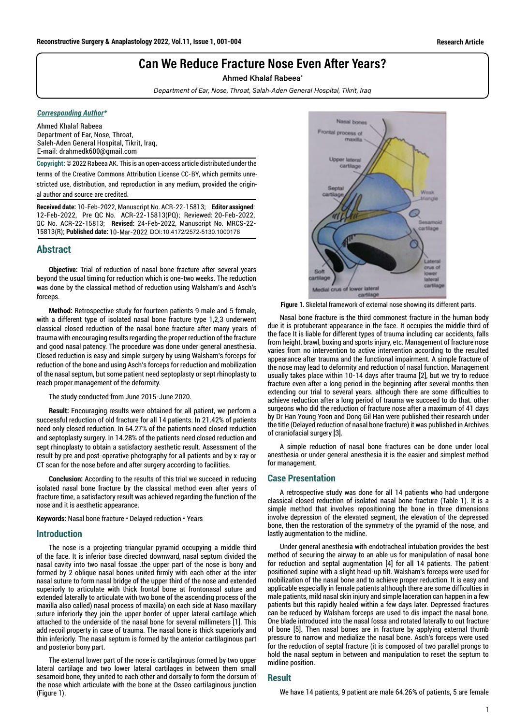# Can We Reduce Fracture Nose Even After Years?

Ahmed Khalaf Rabeea\*

Department of Ear, Nose, Throat, Salah-Aden General Hospital, Tikrit, Iraq

#### *Corresponding Author\**

Ahmed Khalaf Rabeea Department of Ear, Nose, Throat, Saleh-Aden General Hospital, Tikrit, Iraq, E-mail: drahmedk600@gmail.com

**Copyright:** © 2022 Rabeea AK. This is an open-access article distributed under the terms of the Creative Commons Attribution License CC-BY, which permits unrestricted use, distribution, and reproduction in any medium, provided the original author and source are credited.

**Received date:** 10-Feb-2022, Manuscript No. ACR-22-15813; **Editor assigned**: 12-Feb-2022, Pre QC No. ACR-22-15813(PQ); Reviewed: 20-Feb-2022, QC No. ACR-22-15813; **Revised:** 24-Feb-2022, Manuscript No. MRCS-22- 15813(R); **Published date:** 10-Mar-2022 DOI: 10.4172/2572-5130.1000178

## **Abstract**

**Objective:** Trial of reduction of nasal bone fracture after several years beyond the usual timing for reduction which is one-two weeks. The reduction was done by the classical method of reduction using Walsham's and Asch's forceps.

**Method:** Retrospective study for fourteen patients 9 male and 5 female, with a different type of isolated nasal bone fracture type 1,2,3 underwent classical closed reduction of the nasal bone fracture after many years of trauma with encouraging results regarding the proper reduction of the fracture and good nasal patency. The procedure was done under general anesthesia. Closed reduction is easy and simple surgery by using Walsham's forceps for reduction of the bone and using Asch's forceps for reduction and mobilization of the nasal septum, but some patient need septoplasty or sept rhinoplasty to reach proper management of the deformity.

#### The study conducted from June 2015-June 2020.

**Result:** Encouraging results were obtained for all patient, we perform a successful reduction of old fracture for all 14 patients. In 21.42% of patients need only closed reduction. In 64.27% of the patients need closed reduction and septoplasty surgery. In 14.28% of the patients need closed reduction and sept rhinoplasty to obtain a satisfactory aesthetic result. Assessment of the result by pre and post-operative photography for all patients and by x-ray or CT scan for the nose before and after surgery according to facilities.

**Conclusion:** According to the results of this trial we succeed in reducing isolated nasal bone fracture by the classical method even after years of fracture time, a satisfactory result was achieved regarding the function of the nose and it is aesthetic appearance.

**Keywords:** Nasal bone fracture • Delayed reduction • Years

#### **Introduction**

The nose is a projecting triangular pyramid occupying a middle third of the face. It is inferior base directed downward, nasal septum divided the nasal cavity into two nasal fossae .the upper part of the nose is bony and formed by 2 oblique nasal bones united firmly with each other at the inter nasal suture to form nasal bridge of the upper third of the nose and extended superiorly to articulate with thick frontal bone at frontonasal suture and extended laterally to articulate with two bone of the ascending process of the maxilla also called) nasal process of maxilla) on each side at Naso maxillary suture inferiorly they join the upper border of upper lateral cartilage which attached to the underside of the nasal bone for several millimeters [1]. This add recoil property in case of trauma. The nasal bone is thick superiorly and thin inferiorly. The nasal septum is formed by the anterior cartilaginous part and posterior bony part.

The external lower part of the nose is cartilaginous formed by two upper lateral cartilage and two lower lateral cartilages in between them small sesamoid bone, they united to each other and dorsally to form the dorsum of the nose which articulate with the bone at the Osseo cartilaginous junction (Figure 1).



**Figure 1.** Skeletal framework of external nose showing its different parts.

Nasal bone fracture is the third commonest fracture in the human body due it is protuberant appearance in the face. It occupies the middle third of the face It is liable for different types of trauma including car accidents, falls from height, brawl, boxing and sports injury, etc. Management of fracture nose varies from no intervention to active intervention according to the resulted appearance after trauma and the functional impairment. A simple fracture of the nose may lead to deformity and reduction of nasal function. Management usually takes place within 10-14 days after trauma [2], but we try to reduce fracture even after a long period in the beginning after several months then extending our trial to several years. although there are some difficulties to achieve reduction after a long period of trauma we succeed to do that. other surgeons who did the reduction of fracture nose after a maximum of 41 days by Dr Han Young Yoon and Dong Gil Han were published their research under the title (Delayed reduction of nasal bone fracture) it was published in Archives of craniofacial surgery [3].

A simple reduction of nasal bone fractures can be done under local anesthesia or under general anesthesia it is the easier and simplest method for management.

#### **Case Presentation**

A retrospective study was done for all 14 patients who had undergone classical closed reduction of isolated nasal bone fracture (Table 1). It is a simple method that involves repositioning the bone in three dimensions involve depression of the elevated segment, the elevation of the depressed bone, then the restoration of the symmetry of the pyramid of the nose, and lastly augmentation to the midline.

Under general anesthesia with endotracheal intubation provides the best method of securing the airway to an able us for manipulation of nasal bone for reduction and septal augmentation [4] for all 14 patients. The patient positioned supine with a slight head-up tilt. Walsham's forceps were used for mobilization of the nasal bone and to achieve proper reduction. It is easy and applicable especially in female patients although there are some difficulties in male patients, mild nasal skin injury and simple laceration can happen in a few patients but this rapidly healed within a few days later. Depressed fractures can be reduced by Walsham forceps are used to dis impact the nasal bone. One blade introduced into the nasal fossa and rotated laterally to out fracture of bone [5]. Then nasal bones are in fracture by applying external thumb pressure to narrow and medialize the nasal bone. Asch's forceps were used for the reduction of septal fracture (it is composed of two parallel prongs to hold the nasal septum in between and manipulation to reset the septum to midline position.

# **Result**

We have 14 patients, 9 patient are male 64.26% of patients, 5 are female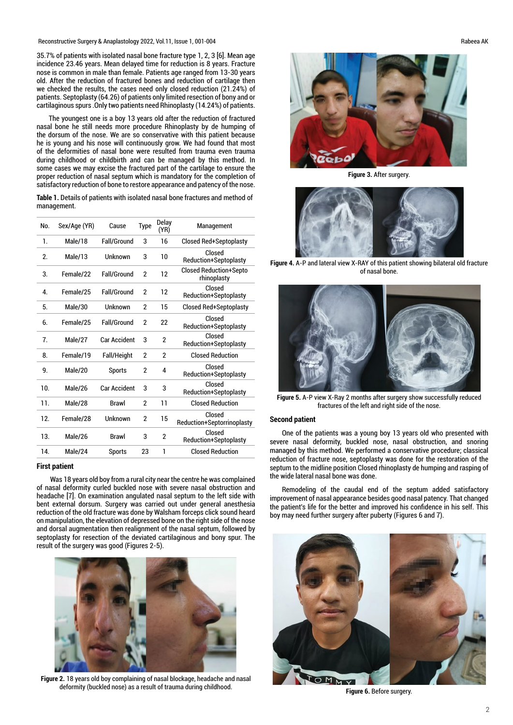Reconstructive Surgery & Anaplastology 2022, Vol.11, Issue 1, 001-004

35.7% of patients with isolated nasal bone fracture type 1, 2, 3 [6]. Mean age incidence 23.46 years. Mean delayed time for reduction is 8 years. Fracture nose is common in male than female. Patients age ranged from 13-30 years old. After the reduction of fractured bones and reduction of cartilage then we checked the results, the cases need only closed reduction (21.24%) of patients. Septoplasty (64.26) of patients only limited resection of bony and or cartilaginous spurs .Only two patients need Rhinoplasty (14.24%) of patients.

The youngest one is a boy 13 years old after the reduction of fractured nasal bone he still needs more procedure Rhinoplasty by de humping of the dorsum of the nose. We are so conservative with this patient because he is young and his nose will continuously grow. We had found that most of the deformities of nasal bone were resulted from trauma even trauma during childhood or childbirth and can be managed by this method. In some cases we may excise the fractured part of the cartilage to ensure the proper reduction of nasal septum which is mandatory for the completion of satisfactory reduction of bone to restore appearance and patency of the nose.

management. **Table 1.** Details of patients with isolated nasal bone fractures and method of

| No.          | Sex/Age (YR) | Cause               | Type           | Delay<br>(YR)  | Management                                   |
|--------------|--------------|---------------------|----------------|----------------|----------------------------------------------|
| 1.           | Male/18      | Fall/Ground         | 3              | 16             | Closed Red+Septoplasty                       |
| $\mathbf{2}$ | Male/13      | Unknown             | 3              | 10             | Closed<br>Reduction+Septoplasty              |
| 3.           | Female/22    | Fall/Ground         | 2              | 12             | <b>Closed Reduction+Septo</b><br>rhinoplasty |
| 4.           | Female/25    | Fall/Ground         | 2              | 12             | Closed<br>Reduction+Septoplasty              |
| 5.           | Male/30      | Unknown             | 2              | 15             | Closed Red+Septoplasty                       |
| 6            | Female/25    | Fall/Ground         | 2              | 22             | Closed<br>Reduction+Septoplasty              |
| 7.           | Male/27      | <b>Car Accident</b> | 3              | $\overline{2}$ | Closed<br>Reduction+Septoplasty              |
| 8.           | Female/19    | Fall/Height         | $\overline{2}$ | $\overline{2}$ | <b>Closed Reduction</b>                      |
| q            | Male/20      | Sports              | 2              | 4              | Closed<br>Reduction+Septoplasty              |
| 10.          | Male/26      | <b>Car Accident</b> | 3              | 3              | Closed<br>Reduction+Septoplasty              |
| 11.          | Male/28      | <b>Brawl</b>        | 2              | 11             | <b>Closed Reduction</b>                      |
| 12.          | Female/28    | Unknown             | $\overline{2}$ | 15             | Closed<br>Reduction+Septorrinoplasty         |
| 13.          | Male/26      | <b>Brawl</b>        | 3              | $\overline{2}$ | Closed<br>Reduction+Septoplasty              |
| 14.          | Male/24      | <b>Sports</b>       | 23             | 1              | <b>Closed Reduction</b>                      |

#### **First patient**

 Was 18 years old boy from a rural city near the centre he was complained of nasal deformity curled buckled nose with severe nasal obstruction and headache [7]. On examination angulated nasal septum to the left side with bent external dorsum. Surgery was carried out under general anesthesia reduction of the old fracture was done by Walsham forceps click sound heard on manipulation, the elevation of depressed bone on the right side of the nose and dorsal augmentation then realignment of the nasal septum, followed by septoplasty for resection of the deviated cartilaginous and bony spur. The result of the surgery was good (Figures 2-5).



**Figure 2.** 18 years old boy complaining of nasal blockage, headache and nasal deformity (buckled nose) as a result of trauma during childhood.



**Figure 3.** After surgery.



**Figure 4.** A-P and lateral view X-RAY of this patient showing bilateral old fracture of nasal bone.



**Figure 5.** A-P view X-Ray 2 months after surgery show successfully reduced fractures of the left and right side of the nose.

#### **Second patient**

One of the patients was a young boy 13 years old who presented with severe nasal deformity, buckled nose, nasal obstruction, and snoring managed by this method. We performed a conservative procedure; classical reduction of fracture nose, septoplasty was done for the restoration of the septum to the midline position Closed rhinoplasty de humping and rasping of the wide lateral nasal bone was done.

Remodeling of the caudal end of the septum added satisfactory improvement of nasal appearance besides good nasal patency. That changed the patient's life for the better and improved his confidence in his self. This boy may need further surgery after puberty (Figures 6 and 7).



**Figure 6.** Before surgery.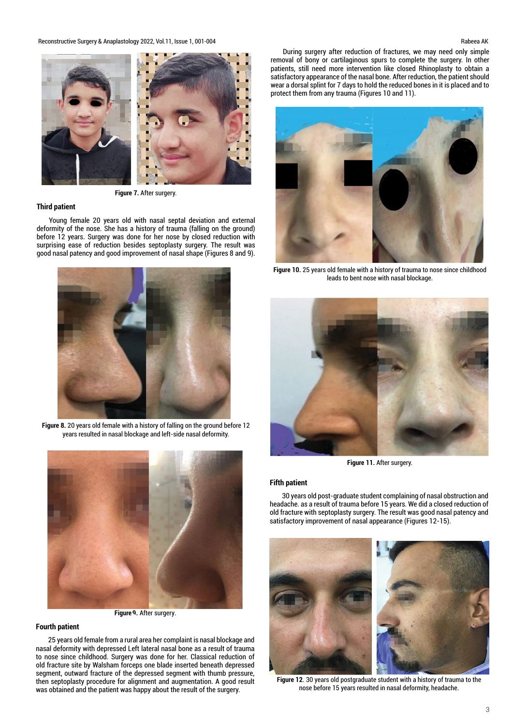

**Figure 7.** After surgery.

#### **Third patient**

Young female 20 years old with nasal septal deviation and external deformity of the nose. She has a history of trauma (falling on the ground) before 12 years. Surgery was done for her nose by closed reduction with surprising ease of reduction besides septoplasty surgery. The result was good nasal patency and good improvement of nasal shape (Figures 8 and 9).



**Figure 8.** 20 years old female with a history of falling on the ground before 12 years resulted in nasal blockage and left-side nasal deformity.



**Figure 9.** After surgery.

# **Fourth patient**

25 years old female from a rural area her complaint is nasal blockage and nasal deformity with depressed Left lateral nasal bone as a result of trauma to nose since childhood. Surgery was done for her. Classical reduction of old fracture site by Walsham forceps one blade inserted beneath depressed segment, outward fracture of the depressed segment with thumb pressure, then septoplasty procedure for alignment and augmentation. A good result was obtained and the patient was happy about the result of the surgery.

patients, still need more intervention like closed Rhinoplasty to obtain a satisfactory appearance of the nasal bone. After reduction, the patient should wear a dorsal splint for 7 days to hold the reduced bones in it is placed and to protect them from any trauma (Figures 10 and 11). During surgery after reduction of fractures, we may need only simple removal of bony or cartilaginous spurs to complete the surgery. In other



**Figure 10.** 25 years old female with a history of trauma to nose since childhood leads to bent nose with nasal blockage.



**Figure 11.** After surgery.

#### **Fifth patient**

30 years old post-graduate student complaining of nasal obstruction and headache. as a result of trauma before 15 years. We did a closed reduction of old fracture with septoplasty surgery. The result was good nasal patency and satisfactory improvement of nasal appearance (Figures 12-15).



**Figure 12**. 30 years old postgraduate student with a history of trauma to the nose before 15 years resulted in nasal deformity, headache.